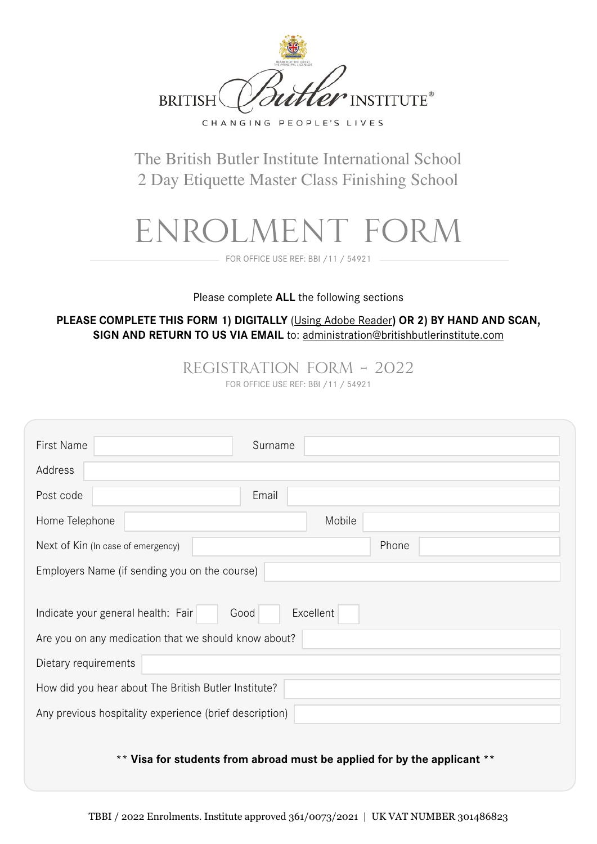

The British Butler Institute International School 2 Day Etiquette Master Class Finishing School

# Enrolment FORM

FOR OFFICE USE REF: BBI /11 / 54921

### Please complete **ALL** the following sections

**PLEASE COMPLETE THIS FORM 1) DIGITALLY** [\(Using Adobe Reader](http://get.adobe.com/uk/reader/)**) OR 2) BY HAND AND SCAN, SIGN AND RETURN TO US VIA EMAIL** to: administratio[n@britishbutlerinstitute.com](mailto:administration%40britishbutlerinstitute.com?subject=)

Registration Form – 2022

FOR OFFICE USE REF: BBI /11 / 54921

| First Name                                              | Surname |  |
|---------------------------------------------------------|---------|--|
| Address                                                 |         |  |
| Post code                                               | Email   |  |
| Home Telephone                                          | Mobile  |  |
| Next of Kin (In case of emergency)                      | Phone   |  |
| Employers Name (if sending you on the course)           |         |  |
| Excellent<br>Indicate your general health: Fair<br>Good |         |  |
| Are you on any medication that we should know about?    |         |  |
| Dietary requirements                                    |         |  |
| How did you hear about The British Butler Institute?    |         |  |
| Any previous hospitality experience (brief description) |         |  |

# \*\* **Visa for students from abroad must be applied for by the applicant \*\***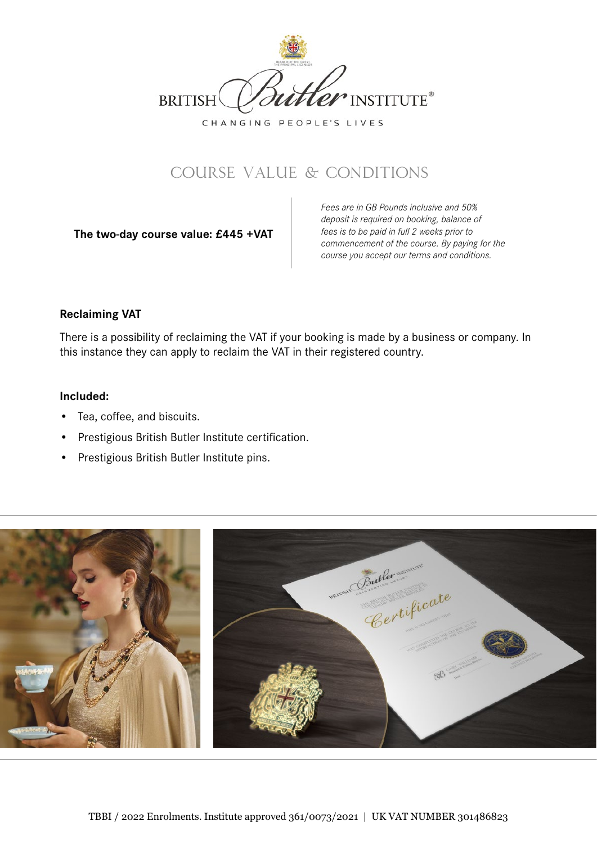

# Course VALUE & Conditions

**The two-day course value: £445 +VAT** 

*Fees are in GB Pounds inclusive and 50% deposit is required on booking, balance of fees is to be paid in full 2 weeks prior to commencement of the course. By paying for the course you accept our terms and conditions.*

# **Reclaiming VAT**

There is a possibility of reclaiming the VAT if your booking is made by a business or company. In this instance they can apply to reclaim the VAT in their registered country.

# **Included:**

- Tea, coffee, and biscuits.
- Prestigious British Butler Institute certification.
- Prestigious British Butler Institute pins.

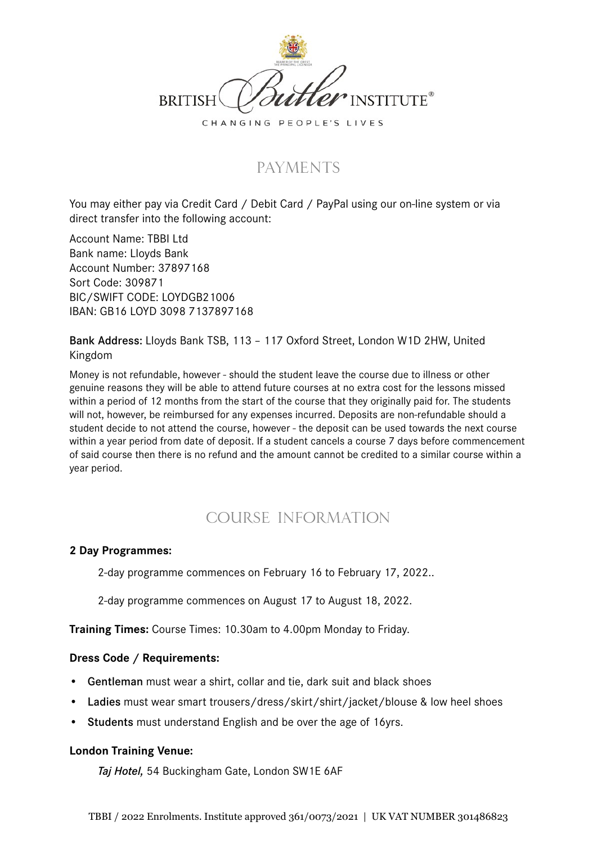

# **PAYMENTS**

You may either pay via Credit Card / Debit Card / PayPal using our on-line system or via direct transfer into the following account:

Account Name: TBBI Ltd Bank name: Lloyds Bank Account Number: 37897168 Sort Code: 309871 BIC/SWIFT CODE: LOYDGB21006 IBAN: GB16 LOYD 3098 7137897168

Bank Address: Lloyds Bank TSB, 113 – 117 Oxford Street, London W1D 2HW, United Kingdom

Money is not refundable, however - should the student leave the course due to illness or other genuine reasons they will be able to attend future courses at no extra cost for the lessons missed within a period of 12 months from the start of the course that they originally paid for. The students will not, however, be reimbursed for any expenses incurred. Deposits are non-refundable should a student decide to not attend the course, however - the deposit can be used towards the next course within a year period from date of deposit. If a student cancels a course 7 days before commencement of said course then there is no refund and the amount cannot be credited to a similar course within a year period.

# COURSE Information

### **2 Day Programmes:**

2-day programme commences on February 16 to February 17, 2022..

2-day programme commences on August 17 to August 18, 2022.

**Training Times:** Course Times: 10.30am to 4.00pm Monday to Friday.

# **Dress Code / Requirements:**

- Gentleman must wear a shirt, collar and tie, dark suit and black shoes
- Ladies must wear smart trousers/dress/skirt/shirt/jacket/blouse & low heel shoes
- Students must understand English and be over the age of 16yrs.

### **London Training Venue:**

*Taj Hotel,* 54 Buckingham Gate, London SW1E 6AF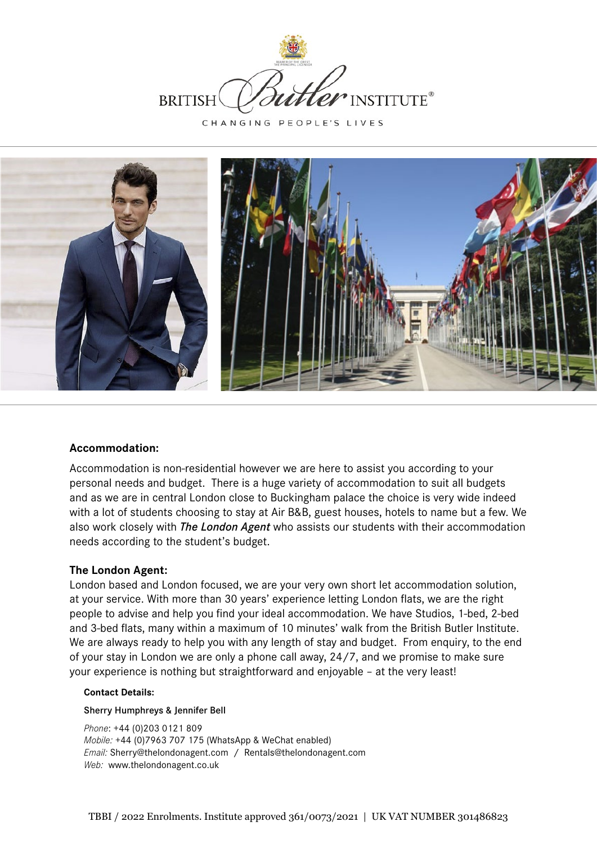



### **Accommodation:**

Accommodation is non-residential however we are here to assist you according to your personal needs and budget. There is a huge variety of accommodation to suit all budgets and as we are in central London close to Buckingham palace the choice is very wide indeed with a lot of students choosing to stay at Air B&B, guest houses, hotels to name but a few. We also work closely with *The London Agent* who assists our students with their accommodation needs according to the student's budget.

### **The London Agent:**

London based and London focused, we are your very own short let accommodation solution, at your service. With more than 30 years' experience letting London flats, we are the right people to advise and help you find your ideal accommodation. We have Studios, 1-bed, 2-bed and 3-bed flats, many within a maximum of 10 minutes' walk from the British Butler Institute. We are always ready to help you with any length of stay and budget. From enquiry, to the end of your stay in London we are only a phone call away, 24/7, and we promise to make sure your experience is nothing but straightforward and enjoyable – at the very least!

### **Contact Details:**

### Sherry Humphreys & Jennifer Bell

*Phone*: +44 (0)203 0121 809 *Mobile:* +44 (0)7963 707 175 (WhatsApp & WeChat enabled) *Email:* Sherry@thelondonagent.com / Rentals@thelondonagent.com *Web:* www.thelondonagent.co.uk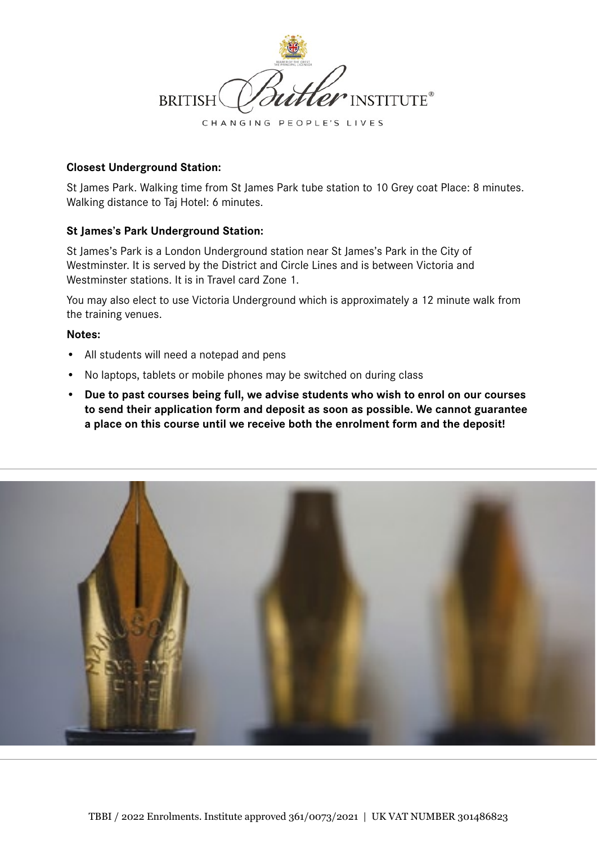

### **Closest Underground Station:**

St James Park. Walking time from St James Park tube station to 10 Grey coat Place: 8 minutes. Walking distance to Taj Hotel: 6 minutes.

### **St James's Park Underground Station:**

St James's Park is a London Underground station near St James's Park in the City of Westminster. It is served by the District and Circle Lines and is between Victoria and Westminster stations. It is in Travel card Zone 1.

You may also elect to use Victoria Underground which is approximately a 12 minute walk from the training venues.

### **Notes:**

- All students will need a notepad and pens
- No laptops, tablets or mobile phones may be switched on during class
- **• Due to past courses being full, we advise students who wish to enrol on our courses to send their application form and deposit as soon as possible. We cannot guarantee a place on this course until we receive both the enrolment form and the deposit!**

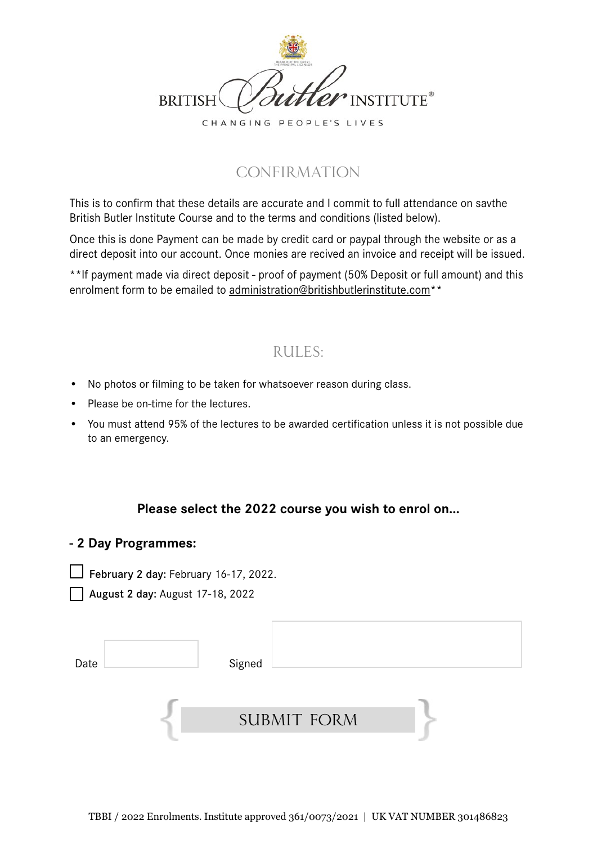

# **CONFIRMATION**

This is to confirm that these details are accurate and I commit to full attendance on savthe British Butler Institute Course and to the terms and conditions (listed below).

Once this is done Payment can be made by credit card or paypal through the website or as a direct deposit into our account. Once monies are recived an invoice and receipt will be issued.

**\*\***If payment made via direct deposit - proof of payment (50% Deposit or full amount) and this enrolment form to be emailed to administratio[n@britishbutlerinstitute.com](mailto:administration%40britishbutlerinstitute.com?subject=)**\*\***

# Rules:

- No photos or filming to be taken for whatsoever reason during class.
- Please be on-time for the lectures.
- You must attend 95% of the lectures to be awarded certification unless it is not possible due to an emergency.

# **Please select the 2022 course you wish to enrol on...**

# **- 2 Day Programmes:**

 $\Box$  February 2 day: February 16-17, 2022.

August 2 day: August 17-18, 2022

| Date | Signed             |  |
|------|--------------------|--|
|      |                    |  |
|      |                    |  |
|      | <b>SUBMIT FORM</b> |  |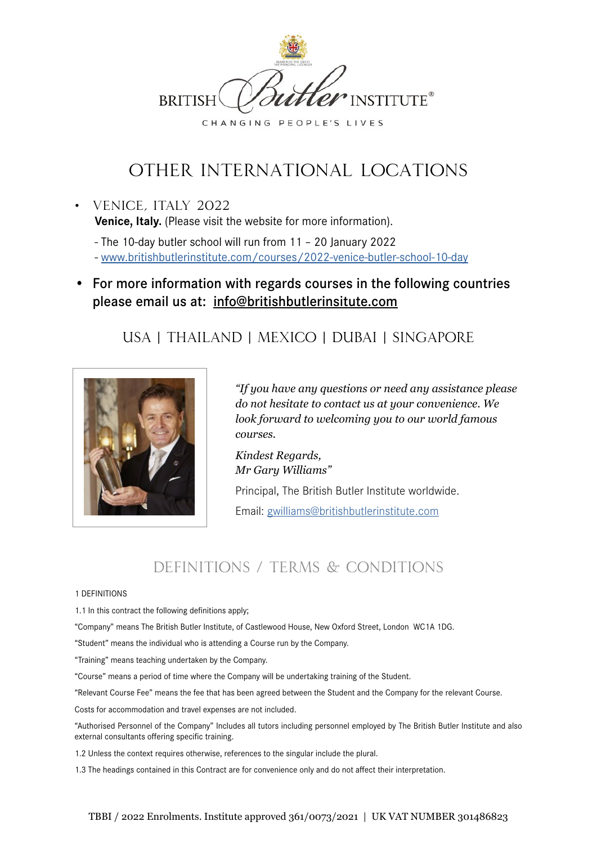

# OTHER INTERNATIONAL LOCATIONs

• Venice, Italy 2022 **Venice, Italy.** (Please visit the website for more information).

- The 10-day butler school will run from 11 – 20 January 2022 - [www.britishbutlerinstitute.com/courses/2022-venice-butler-school-10-day](https://www.britishbutlerinstitute.com/courses/2021-venice-butler-school-10-day/)

• For more information with regards courses in the following countries please email us at: [info@britishbutlerinsitute.com](mailto:info@britishbutlerinsitute.com)

# USA | THAILAND | MEXICO | DUBAI | SINGAPORE



*"If you have any questions or need any assistance please do not hesitate to contact us at your convenience. We look forward to welcoming you to our world famous courses.*

*Kindest Regards, Mr Gary Williams"* Principal, The British Butler Institute worldwide.

Email: gwilliams@britishbutlerinstitute.com

# DEFINITIONS / TERMS & CONDITIONS

#### 1 DEFINITIONS

1.1 In this contract the following definitions apply;

"Company" means The British Butler Institute, of Castlewood House, New Oxford Street, London WC1A 1DG.

"Student" means the individual who is attending a Course run by the Company.

"Training" means teaching undertaken by the Company.

"Course" means a period of time where the Company will be undertaking training of the Student.

"Relevant Course Fee" means the fee that has been agreed between the Student and the Company for the relevant Course.

Costs for accommodation and travel expenses are not included.

"Authorised Personnel of the Company" Includes all tutors including personnel employed by The British Butler Institute and also external consultants offering specific training.

1.2 Unless the context requires otherwise, references to the singular include the plural.

1.3 The headings contained in this Contract are for convenience only and do not affect their interpretation.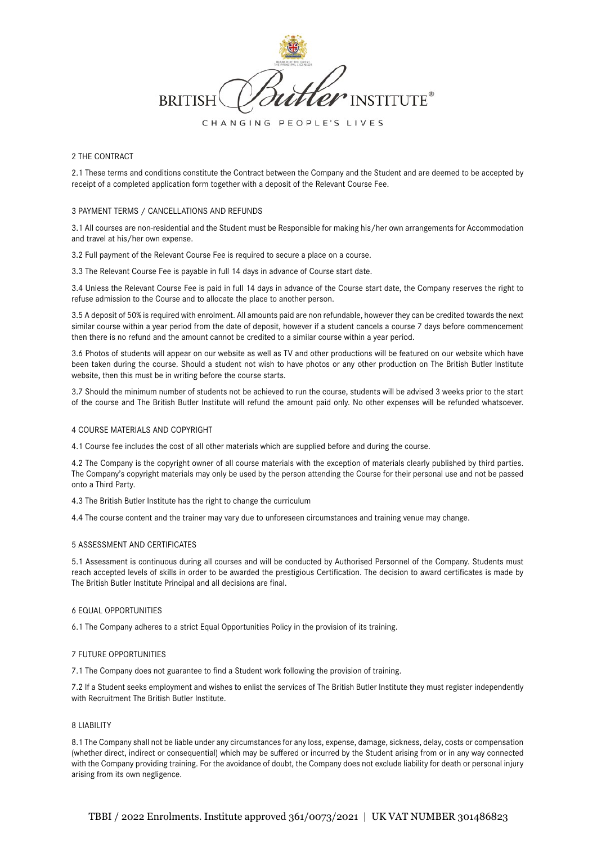

#### 2 THE CONTRACT

2.1 These terms and conditions constitute the Contract between the Company and the Student and are deemed to be accepted by receipt of a completed application form together with a deposit of the Relevant Course Fee.

#### 3 PAYMENT TERMS / CANCELLATIONS AND REFUNDS

3.1 All courses are non-residential and the Student must be Responsible for making his/her own arrangements for Accommodation and travel at his/her own expense.

3.2 Full payment of the Relevant Course Fee is required to secure a place on a course.

3.3 The Relevant Course Fee is payable in full 14 days in advance of Course start date.

3.4 Unless the Relevant Course Fee is paid in full 14 days in advance of the Course start date, the Company reserves the right to refuse admission to the Course and to allocate the place to another person.

3.5 A deposit of 50% is required with enrolment. All amounts paid are non refundable, however they can be credited towards the next similar course within a year period from the date of deposit, however if a student cancels a course 7 days before commencement then there is no refund and the amount cannot be credited to a similar course within a year period.

3.6 Photos of students will appear on our website as well as TV and other productions will be featured on our website which have been taken during the course. Should a student not wish to have photos or any other production on The British Butler Institute website, then this must be in writing before the course starts.

3.7 Should the minimum number of students not be achieved to run the course, students will be advised 3 weeks prior to the start of the course and The British Butler Institute will refund the amount paid only. No other expenses will be refunded whatsoever.

#### 4 COURSE MATERIALS AND COPYRIGHT

4.1 Course fee includes the cost of all other materials which are supplied before and during the course.

4.2 The Company is the copyright owner of all course materials with the exception of materials clearly published by third parties. The Company's copyright materials may only be used by the person attending the Course for their personal use and not be passed onto a Third Party.

4.3 The British Butler Institute has the right to change the curriculum

4.4 The course content and the trainer may vary due to unforeseen circumstances and training venue may change.

#### 5 ASSESSMENT AND CERTIFICATES

5.1 Assessment is continuous during all courses and will be conducted by Authorised Personnel of the Company. Students must reach accepted levels of skills in order to be awarded the prestigious Certification. The decision to award certificates is made by The British Butler Institute Principal and all decisions are final.

#### 6 EQUAL OPPORTUNITIES

6.1 The Company adheres to a strict Equal Opportunities Policy in the provision of its training.

#### 7 FUTURE OPPORTUNITIES

7.1 The Company does not guarantee to find a Student work following the provision of training.

7.2 If a Student seeks employment and wishes to enlist the services of The British Butler Institute they must register independently with Recruitment The British Butler Institute.

#### 8 LIABILITY

8.1 The Company shall not be liable under any circumstances for any loss, expense, damage, sickness, delay, costs or compensation (whether direct, indirect or consequential) which may be suffered or incurred by the Student arising from or in any way connected with the Company providing training. For the avoidance of doubt, the Company does not exclude liability for death or personal injury arising from its own negligence.